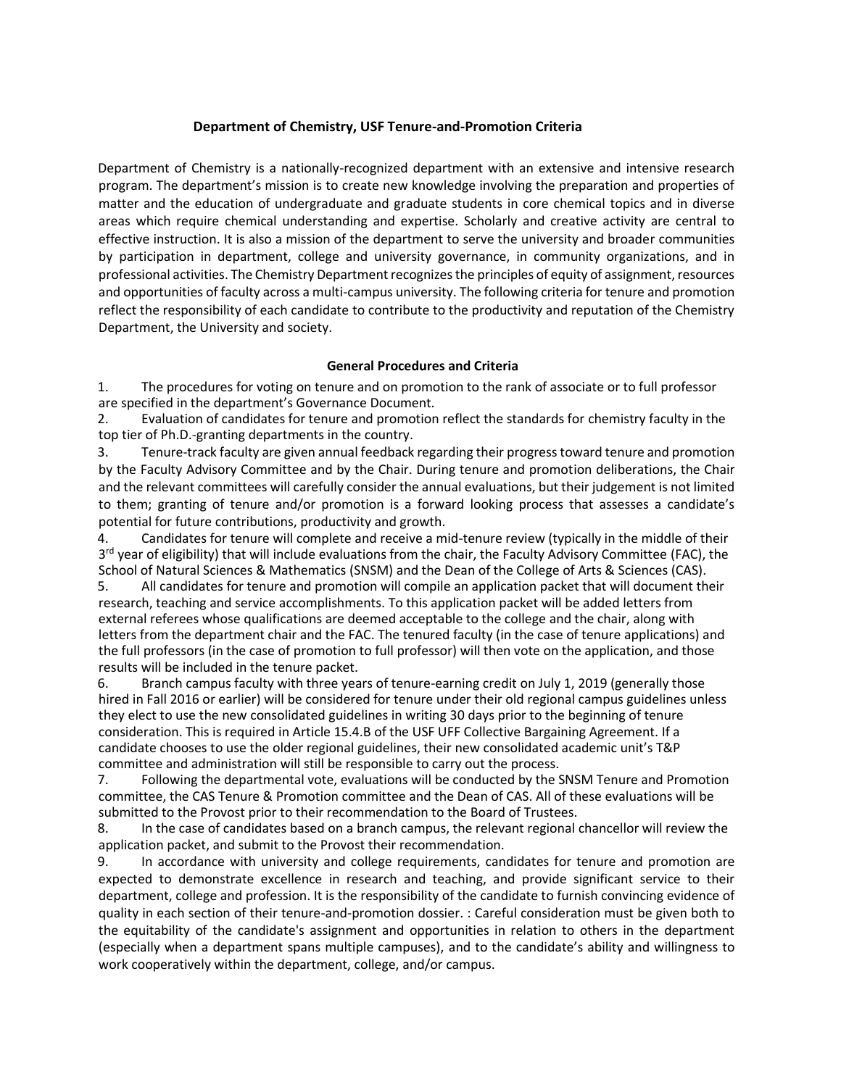# **Department of Chemistry, USF Tenure-and-Promotion Criteria**

Department of Chemistry is a nationally-recognized department with an extensive and intensive research program. The department's mission is to create new knowledge involving the preparation and properties of matter and the education of undergraduate and graduate students in core chemical topics and in diverse areas which require chemical understanding and expertise. Scholarly and creative activity are central to effective instruction. It is also a mission of the department to serve the university and broader communities by participation in department, college and university governance, in community organizations, and in professional activities. The Chemistry Department recognizes the principles of equity of assignment, resources and opportunities of faculty across a multi-campus university. The following criteria for tenure and promotion reflect the responsibility of each candidate to contribute to the productivity and reputation of the Chemistry Department, the University and society.

# **General Procedures and Criteria**

1. The procedures for voting on tenure and on promotion to the rank of associate or to full professor are specified in the department's Governance Document.

2. Evaluation of candidates for tenure and promotion reflect the standards for chemistry faculty in the top tier of Ph.D.-granting departments in the country.

3. Tenure-track faculty are given annual feedback regarding their progress toward tenure and promotion by the Faculty Advisory Committee and by the Chair. During tenure and promotion deliberations, the Chair and the relevant committees will carefully consider the annual evaluations, but their judgement is not limited to them; granting of tenure and/or promotion is a forward looking process that assesses a candidate's potential for future contributions, productivity and growth.

4. Candidates for tenure will complete and receive a mid-tenure review (typically in the middle of their 3<sup>rd</sup> year of eligibility) that will include evaluations from the chair, the Faculty Advisory Committee (FAC), the School of Natural Sciences & Mathematics (SNSM) and the Dean of the College of Arts & Sciences (CAS).

5. All candidates for tenure and promotion will compile an application packet that will document their research, teaching and service accomplishments. To this application packet will be added letters from external referees whose qualifications are deemed acceptable to the college and the chair, along with letters from the department chair and the FAC. The tenured faculty (in the case of tenure applications) and the full professors (in the case of promotion to full professor) will then vote on the application, and those results will be included in the tenure packet.

6. Branch campus faculty with three years of tenure-earning credit on July 1, 2019 (generally those hired in Fall 2016 or earlier) will be considered for tenure under their old regional campus guidelines unless they elect to use the new consolidated guidelines in writing 30 days prior to the beginning of tenure consideration. This is required in Article 15.4.B of the USF UFF Collective Bargaining Agreement. If a candidate chooses to use the older regional guidelines, their new consolidated academic unit's T&P committee and administration will still be responsible to carry out the process.

7. Following the departmental vote, evaluations will be conducted by the SNSM Tenure and Promotion committee, the CAS Tenure & Promotion committee and the Dean of CAS. All of these evaluations will be submitted to the Provost prior to their recommendation to the Board of Trustees.

8. In the case of candidates based on a branch campus, the relevant regional chancellor will review the application packet, and submit to the Provost their recommendation.

9. In accordance with university and college requirements, candidates for tenure and promotion are expected to demonstrate excellence in research and teaching, and provide significant service to their department, college and profession. It is the responsibility of the candidate to furnish convincing evidence of quality in each section of their tenure-and-promotion dossier. : Careful consideration must be given both to the equitability of the candidate's assignment and opportunities in relation to others in the department (especially when a department spans multiple campuses), and to the candidate's ability and willingness to work cooperatively within the department, college, and/or campus.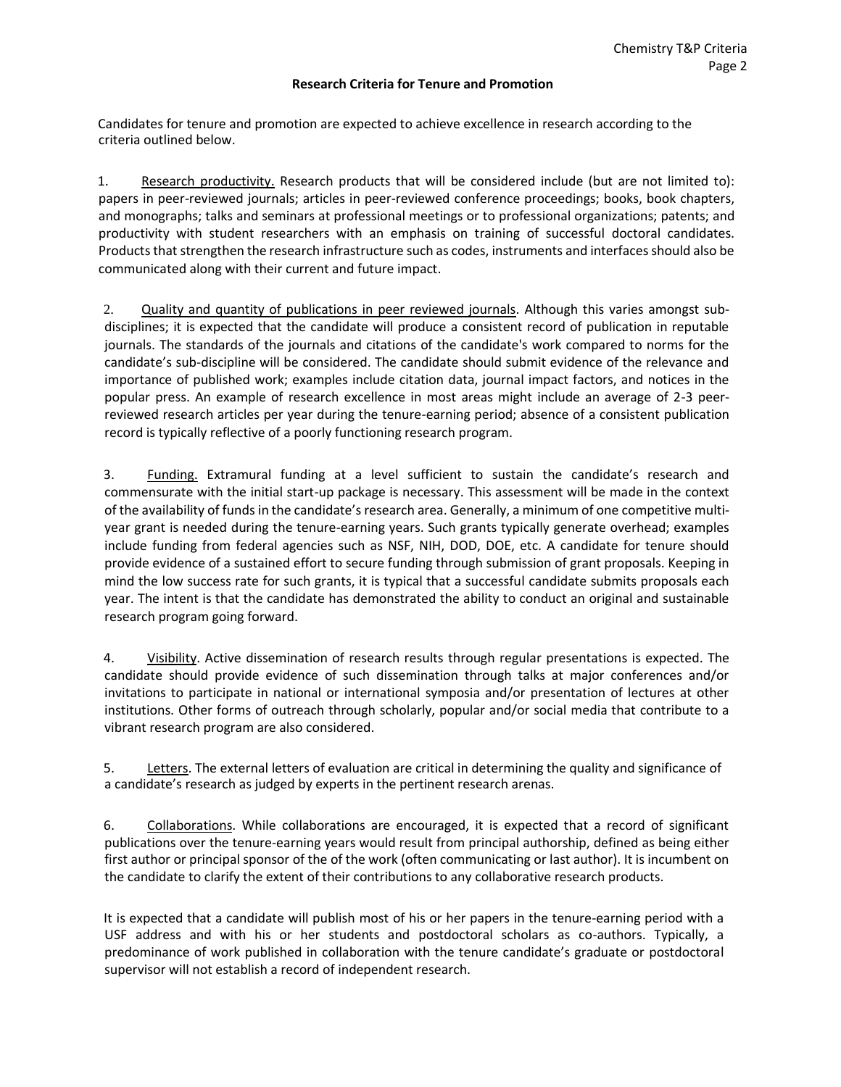#### **Research Criteria for Tenure and Promotion**

Candidates for tenure and promotion are expected to achieve excellence in research according to the criteria outlined below.

1. Research productivity. Research products that will be considered include (but are not limited to): papers in peer-reviewed journals; articles in peer‐reviewed conference proceedings; books, book chapters, and monographs; talks and seminars at professional meetings or to professional organizations; patents; and productivity with student researchers with an emphasis on training of successful doctoral candidates. Products that strengthen the research infrastructure such as codes, instruments and interfaces should also be communicated along with their current and future impact.

2. Quality and quantity of publications in peer reviewed journals. Although this varies amongst subdisciplines; it is expected that the candidate will produce a consistent record of publication in reputable journals. The standards of the journals and citations of the candidate's work compared to norms for the candidate's sub-discipline will be considered. The candidate should submit evidence of the relevance and importance of published work; examples include citation data, journal impact factors, and notices in the popular press. An example of research excellence in most areas might include an average of 2-3 peerreviewed research articles per year during the tenure-earning period; absence of a consistent publication record is typically reflective of a poorly functioning research program.

3. Funding. Extramural funding at a level sufficient to sustain the candidate's research and commensurate with the initial start-up package is necessary. This assessment will be made in the context of the availability of funds in the candidate's research area. Generally, a minimum of one competitive multiyear grant is needed during the tenure-earning years. Such grants typically generate overhead; examples include funding from federal agencies such as NSF, NIH, DOD, DOE, etc. A candidate for tenure should provide evidence of a sustained effort to secure funding through submission of grant proposals. Keeping in mind the low success rate for such grants, it is typical that a successful candidate submits proposals each year. The intent is that the candidate has demonstrated the ability to conduct an original and sustainable research program going forward.

4. Visibility. Active dissemination of research results through regular presentations is expected. The candidate should provide evidence of such dissemination through talks at major conferences and/or invitations to participate in national or international symposia and/or presentation of lectures at other institutions. Other forms of outreach through scholarly, popular and/or social media that contribute to a vibrant research program are also considered.

5. Letters. The external letters of evaluation are critical in determining the quality and significance of a candidate's research as judged by experts in the pertinent research arenas.

6. Collaborations. While collaborations are encouraged, it is expected that a record of significant publications over the tenure-earning years would result from principal authorship, defined as being either first author or principal sponsor of the of the work (often communicating or last author). It is incumbent on the candidate to clarify the extent of their contributions to any collaborative research products.

It is expected that a candidate will publish most of his or her papers in the tenure-earning period with a USF address and with his or her students and postdoctoral scholars as co-authors. Typically, a predominance of work published in collaboration with the tenure candidate's graduate or postdoctoral supervisor will not establish a record of independent research.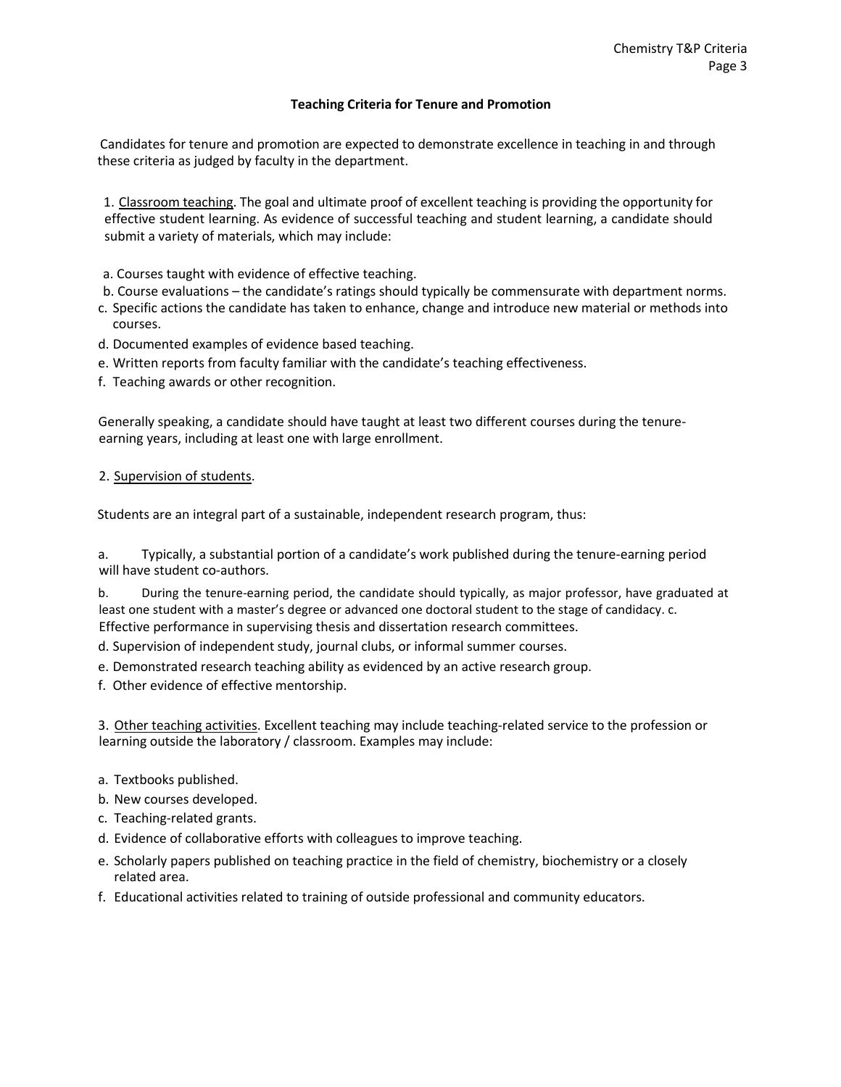## **Teaching Criteria for Tenure and Promotion**

Candidates for tenure and promotion are expected to demonstrate excellence in teaching in and through these criteria as judged by faculty in the department.

1. Classroom teaching. The goal and ultimate proof of excellent teaching is providing the opportunity for effective student learning. As evidence of successful teaching and student learning, a candidate should submit a variety of materials, which may include:

a. Courses taught with evidence of effective teaching.

- b. Course evaluations the candidate's ratings should typically be commensurate with department norms.
- c. Specific actions the candidate has taken to enhance, change and introduce new material or methods into courses.
- d. Documented examples of evidence based teaching.
- e. Written reports from faculty familiar with the candidate's teaching effectiveness.
- f. Teaching awards or other recognition.

Generally speaking, a candidate should have taught at least two different courses during the tenureearning years, including at least one with large enrollment.

## 2. Supervision of students.

Students are an integral part of a sustainable, independent research program, thus:

a. Typically, a substantial portion of a candidate's work published during the tenure-earning period will have student co-authors.

b. During the tenure-earning period, the candidate should typically, as major professor, have graduated at least one student with a master's degree or advanced one doctoral student to the stage of candidacy. c. Effective performance in supervising thesis and dissertation research committees.

d. Supervision of independent study, journal clubs, or informal summer courses.

e. Demonstrated research teaching ability as evidenced by an active research group.

f. Other evidence of effective mentorship.

3. Other teaching activities. Excellent teaching may include teaching-related service to the profession or learning outside the laboratory / classroom. Examples may include:

- a. Textbooks published.
- b. New courses developed.
- c. Teaching-related grants.
- d. Evidence of collaborative efforts with colleagues to improve teaching.
- e. Scholarly papers published on teaching practice in the field of chemistry, biochemistry or a closely related area.
- f. Educational activities related to training of outside professional and community educators.